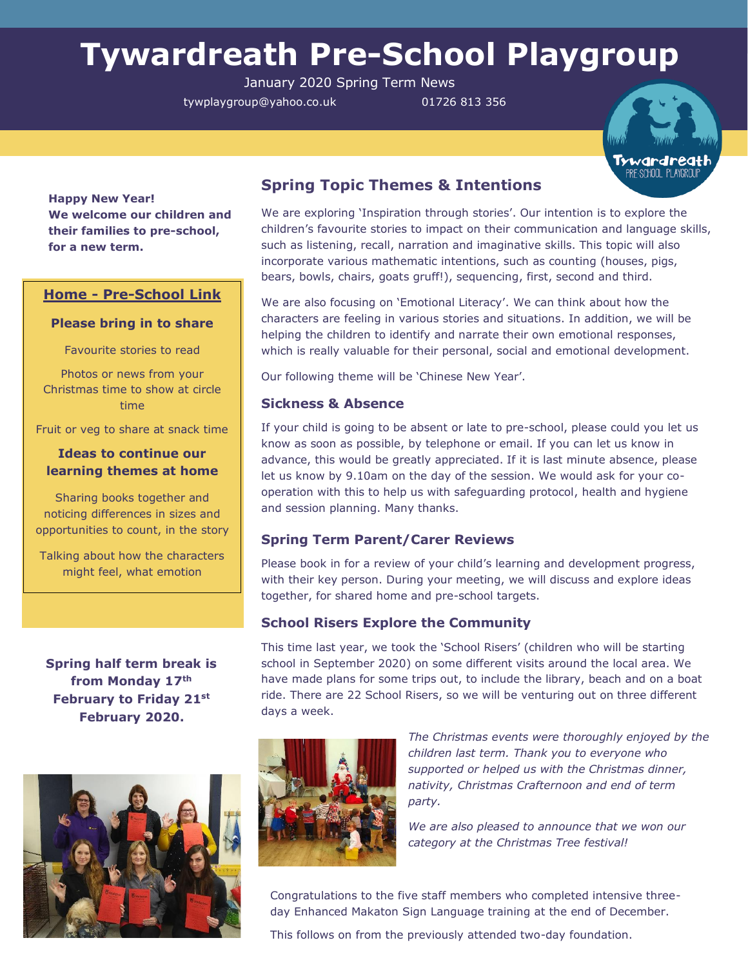# **Tywardreath Pre-School Playgroup**

January 2020 Spring Term News

tywplaygroup@yahoo.co.uk 01726 813 356



**Happy New Year! We welcome our children and their families to pre-school, for a new term.**

## **Home - Pre-School Link**

#### **Please bring in to share**

Favourite stories to read

Photos or news from your Christmas time to show at circle time

Fruit or veg to share at snack time

## **Ideas to continue our learning themes at home**

Sharing books together and noticing differences in sizes and opportunities to count, in the story

Talking about how the characters might feel, what emotion

**Spring half term break is from Monday 17th February to Friday 21st February 2020.**



# **Spring Topic Themes & Intentions**

We are exploring 'Inspiration through stories'. Our intention is to explore the children's favourite stories to impact on their communication and language skills, such as listening, recall, narration and imaginative skills. This topic will also incorporate various mathematic intentions, such as counting (houses, pigs, bears, bowls, chairs, goats gruff!), sequencing, first, second and third.

We are also focusing on 'Emotional Literacy'. We can think about how the characters are feeling in various stories and situations. In addition, we will be helping the children to identify and narrate their own emotional responses, which is really valuable for their personal, social and emotional development.

Our following theme will be 'Chinese New Year'.

### **Sickness & Absence**

If your child is going to be absent or late to pre-school, please could you let us know as soon as possible, by telephone or email. If you can let us know in advance, this would be greatly appreciated. If it is last minute absence, please let us know by 9.10am on the day of the session. We would ask for your cooperation with this to help us with safeguarding protocol, health and hygiene and session planning. Many thanks.

## **Spring Term Parent/Carer Reviews**

Please book in for a review of your child's learning and development progress, with their key person. During your meeting, we will discuss and explore ideas together, for shared home and pre-school targets.

## **School Risers Explore the Community**

This time last year, we took the 'School Risers' (children who will be starting school in September 2020) on some different visits around the local area. We have made plans for some trips out, to include the library, beach and on a boat ride. There are 22 School Risers, so we will be venturing out on three different days a week.



*The Christmas events were thoroughly enjoyed by the children last term. Thank you to everyone who supported or helped us with the Christmas dinner, nativity, Christmas Crafternoon and end of term party.*

*We are also pleased to announce that we won our category at the Christmas Tree festival!*

Congratulations to the five staff members who completed intensive threeday Enhanced Makaton Sign Language training at the end of December.

This follows on from the previously attended two-day foundation.